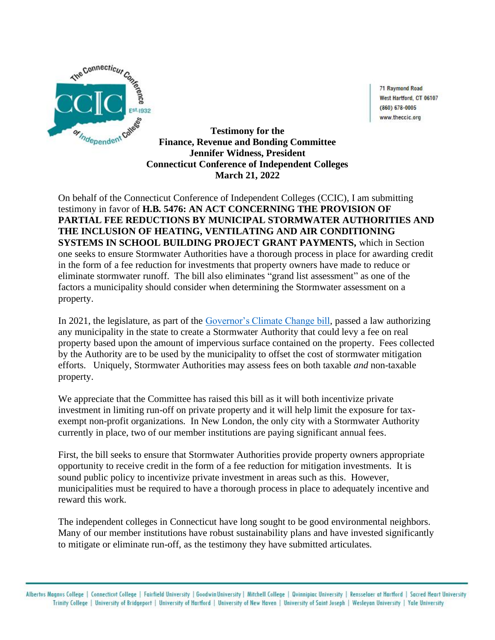

71 Raymond Road West Hartford, CT 06107  $(860) 678 - 0005$ www.theccic.org

**Testimony for the Finance, Revenue and Bonding Committee Jennifer Widness, President Connecticut Conference of Independent Colleges March 21, 2022**

On behalf of the Connecticut Conference of Independent Colleges (CCIC), I am submitting testimony in favor of **H.B. 5476: AN ACT CONCERNING THE PROVISION OF PARTIAL FEE REDUCTIONS BY MUNICIPAL STORMWATER AUTHORITIES AND THE INCLUSION OF HEATING, VENTILATING AND AIR CONDITIONING SYSTEMS IN SCHOOL BUILDING PROJECT GRANT PAYMENTS,** which in Section one seeks to ensure Stormwater Authorities have a thorough process in place for awarding credit in the form of a fee reduction for investments that property owners have made to reduce or eliminate stormwater runoff. The bill also eliminates "grand list assessment" as one of the factors a municipality should consider when determining the Stormwater assessment on a property.

In 2021, the legislature, as part of the [Governor's Climate Change bill,](https://www.cga.ct.gov/asp/cgabillstatus/cgabillstatus.asp?selBillType=Bill&which_year=2021&bill_num=6441) passed a law authorizing any municipality in the state to create a Stormwater Authority that could levy a fee on real property based upon the amount of impervious surface contained on the property. Fees collected by the Authority are to be used by the municipality to offset the cost of stormwater mitigation efforts. Uniquely, Stormwater Authorities may assess fees on both taxable *and* non-taxable property.

We appreciate that the Committee has raised this bill as it will both incentivize private investment in limiting run-off on private property and it will help limit the exposure for taxexempt non-profit organizations. In New London, the only city with a Stormwater Authority currently in place, two of our member institutions are paying significant annual fees.

First, the bill seeks to ensure that Stormwater Authorities provide property owners appropriate opportunity to receive credit in the form of a fee reduction for mitigation investments. It is sound public policy to incentivize private investment in areas such as this. However, municipalities must be required to have a thorough process in place to adequately incentive and reward this work.

The independent colleges in Connecticut have long sought to be good environmental neighbors. Many of our member institutions have robust sustainability plans and have invested significantly to mitigate or eliminate run-off, as the testimony they have submitted articulates.

Albertus Magnus College | Connecticut College | Fairfield University | GoodwinUniversity | Mitchell College | Quinnipiac University | Rensselaer at Hartford | Sacred Heart University<br>Trinity College | University of Bridgep